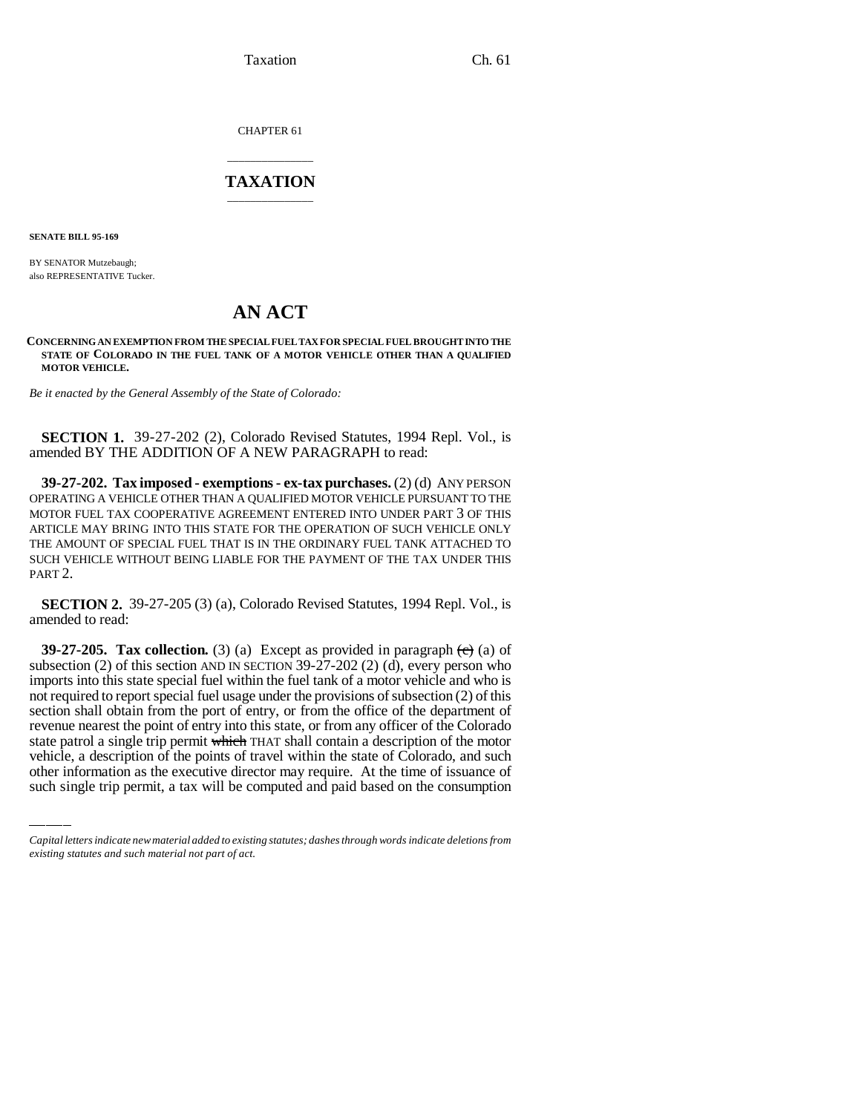Taxation Ch. 61

CHAPTER 61

# \_\_\_\_\_\_\_\_\_\_\_\_\_\_\_ **TAXATION** \_\_\_\_\_\_\_\_\_\_\_\_\_\_\_

**SENATE BILL 95-169**

BY SENATOR Mutzebaugh; also REPRESENTATIVE Tucker.

# **AN ACT**

### **CONCERNING AN EXEMPTION FROM THE SPECIAL FUEL TAX FOR SPECIAL FUEL BROUGHT INTO THE STATE OF COLORADO IN THE FUEL TANK OF A MOTOR VEHICLE OTHER THAN A QUALIFIED MOTOR VEHICLE.**

*Be it enacted by the General Assembly of the State of Colorado:*

**SECTION 1.** 39-27-202 (2), Colorado Revised Statutes, 1994 Repl. Vol., is amended BY THE ADDITION OF A NEW PARAGRAPH to read:

**39-27-202. Tax imposed - exemptions - ex-tax purchases.** (2) (d) ANY PERSON OPERATING A VEHICLE OTHER THAN A QUALIFIED MOTOR VEHICLE PURSUANT TO THE MOTOR FUEL TAX COOPERATIVE AGREEMENT ENTERED INTO UNDER PART 3 OF THIS ARTICLE MAY BRING INTO THIS STATE FOR THE OPERATION OF SUCH VEHICLE ONLY THE AMOUNT OF SPECIAL FUEL THAT IS IN THE ORDINARY FUEL TANK ATTACHED TO SUCH VEHICLE WITHOUT BEING LIABLE FOR THE PAYMENT OF THE TAX UNDER THIS PART 2.

**SECTION 2.** 39-27-205 (3) (a), Colorado Revised Statutes, 1994 Repl. Vol., is amended to read:

revenue nearest the point of entry into this state, or from any officer of the Colorado **39-27-205. Tax collection.** (3) (a) Except as provided in paragraph  $\left(\frac{e}{e}\right)$  (a) of subsection (2) of this section AND IN SECTION 39-27-202 (2) (d), every person who imports into this state special fuel within the fuel tank of a motor vehicle and who is not required to report special fuel usage under the provisions of subsection (2) of this section shall obtain from the port of entry, or from the office of the department of state patrol a single trip permit which THAT shall contain a description of the motor vehicle, a description of the points of travel within the state of Colorado, and such other information as the executive director may require. At the time of issuance of such single trip permit, a tax will be computed and paid based on the consumption

*Capital letters indicate new material added to existing statutes; dashes through words indicate deletions from existing statutes and such material not part of act.*